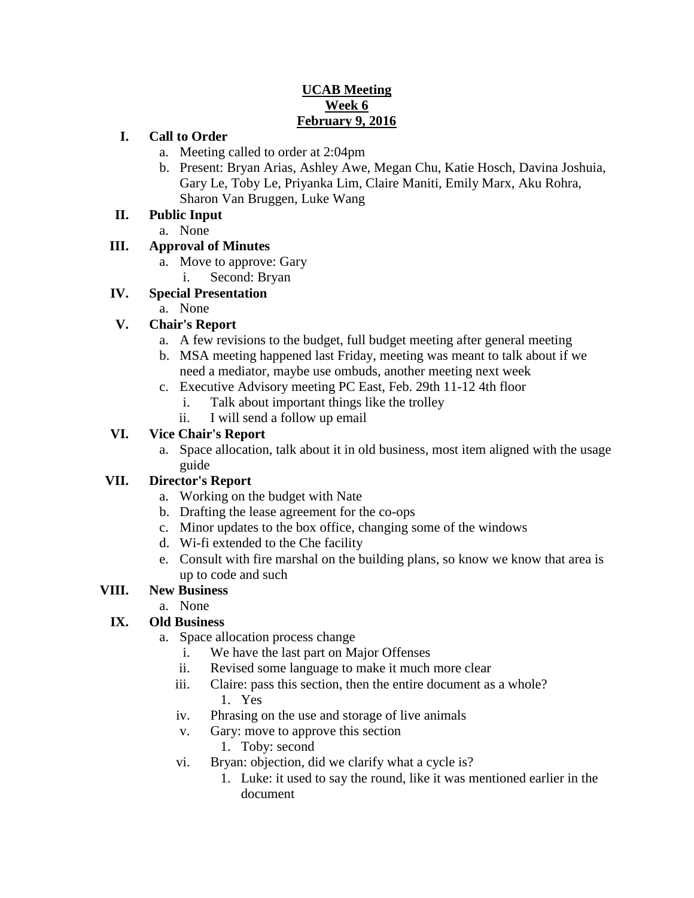### **UCAB Meeting Week 6 February 9, 2016**

### **I. Call to Order**

- a. Meeting called to order at 2:04pm
- b. Present: Bryan Arias, Ashley Awe, Megan Chu, Katie Hosch, Davina Joshuia, Gary Le, Toby Le, Priyanka Lim, Claire Maniti, Emily Marx, Aku Rohra, Sharon Van Bruggen, Luke Wang

### **II. Public Input**

a. None

## **III. Approval of Minutes**

- a. Move to approve: Gary
- i. Second: Bryan

# **IV. Special Presentation**

a. None

# **V. Chair's Report**

- a. A few revisions to the budget, full budget meeting after general meeting
- b. MSA meeting happened last Friday, meeting was meant to talk about if we need a mediator, maybe use ombuds, another meeting next week
- c. Executive Advisory meeting PC East, Feb. 29th 11-12 4th floor
	- i. Talk about important things like the trolley
	- ii. I will send a follow up email

## **VI. Vice Chair's Report**

a. Space allocation, talk about it in old business, most item aligned with the usage guide

## **VII. Director's Report**

- a. Working on the budget with Nate
- b. Drafting the lease agreement for the co-ops
- c. Minor updates to the box office, changing some of the windows
- d. Wi-fi extended to the Che facility
- e. Consult with fire marshal on the building plans, so know we know that area is up to code and such

## **VIII. New Business**

a. None

# **IX. Old Business**

- a. Space allocation process change
	- i. We have the last part on Major Offenses
	- ii. Revised some language to make it much more clear
	- iii. Claire: pass this section, then the entire document as a whole? 1. Yes
	- iv. Phrasing on the use and storage of live animals
	- v. Gary: move to approve this section
		- 1. Toby: second
	- vi. Bryan: objection, did we clarify what a cycle is?
		- 1. Luke: it used to say the round, like it was mentioned earlier in the document